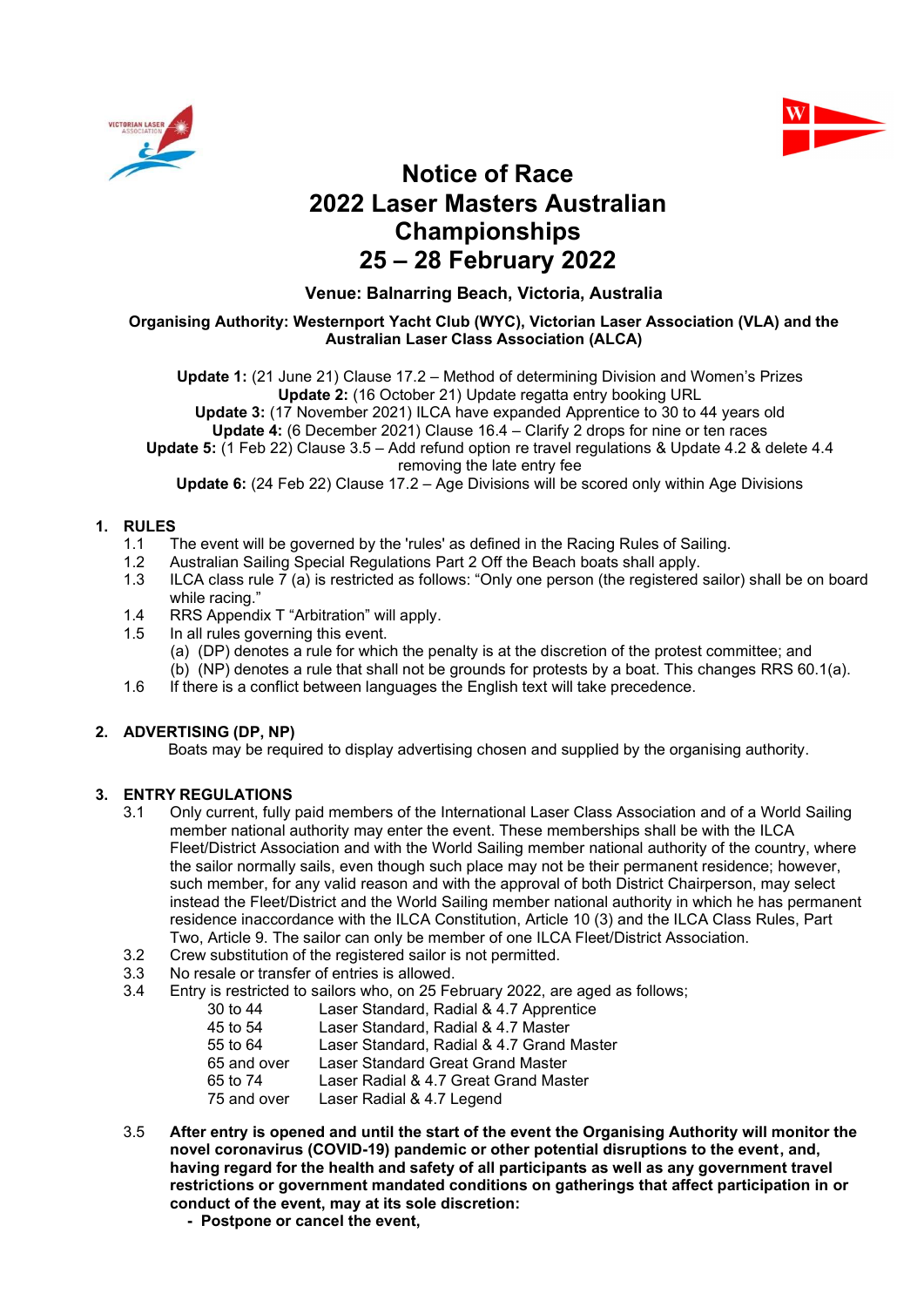



# Notice of Race 2022 Laser Masters Australian Championships 25 – 28 February 2022

## Venue: Balnarring Beach, Victoria, Australia

#### Organising Authority: Westernport Yacht Club (WYC), Victorian Laser Association (VLA) and the Australian Laser Class Association (ALCA)

Update 1: (21 June 21) Clause 17.2 – Method of determining Division and Women's Prizes Update 2: (16 October 21) Update regatta entry booking URL Update 3: (17 November 2021) ILCA have expanded Apprentice to 30 to 44 years old Update 4: (6 December 2021) Clause 16.4 – Clarify 2 drops for nine or ten races Update 5: (1 Feb 22) Clause 3.5 – Add refund option re travel regulations & Update 4.2 & delete 4.4 removing the late entry fee Update 6: (24 Feb 22) Clause 17.2 – Age Divisions will be scored only within Age Divisions

#### 1. RULES

- 1.1 The event will be governed by the 'rules' as defined in the Racing Rules of Sailing.
- 1.2 Australian Sailing Special Regulations Part 2 Off the Beach boats shall apply.
- 1.3 ILCA class rule 7 (a) is restricted as follows: "Only one person (the registered sailor) shall be on board while racing."
- 1.4 RRS Appendix T "Arbitration" will apply.
- 1.5 In all rules governing this event.
	- (a) (DP) denotes a rule for which the penalty is at the discretion of the protest committee; and
	- (b) (NP) denotes a rule that shall not be grounds for protests by a boat. This changes RRS 60.1(a).
- 1.6 If there is a conflict between languages the English text will take precedence.

#### 2. ADVERTISING (DP, NP)

Boats may be required to display advertising chosen and supplied by the organising authority.

#### 3. ENTRY REGULATIONS

- 3.1 Only current, fully paid members of the International Laser Class Association and of a World Sailing member national authority may enter the event. These memberships shall be with the ILCA Fleet/District Association and with the World Sailing member national authority of the country, where the sailor normally sails, even though such place may not be their permanent residence; however, such member, for any valid reason and with the approval of both District Chairperson, may select instead the Fleet/District and the World Sailing member national authority in which he has permanent residence in accordance with the ILCA Constitution, Article 10 (3) and the ILCA Class Rules, Part Two, Article 9. The sailor can only be member of one ILCA Fleet/District Association.
- 3.2 Crew substitution of the registered sailor is not permitted.
- 3.3 No resale or transfer of entries is allowed.
- 3.4 Entry is restricted to sailors who, on 25 February 2022, are aged as follows;

| 30 to 44    | Laser Standard, Radial & 4.7 Apprentice   |
|-------------|-------------------------------------------|
| 45 to 54    | Laser Standard, Radial & 4.7 Master       |
| 55 to 64    | Laser Standard, Radial & 4.7 Grand Master |
| 65 and over | Laser Standard Great Grand Master         |
| 65 to 74    | Laser Radial & 4.7 Great Grand Master     |
| 75 and over | Laser Radial & 4.7 Legend                 |

- 3.5 After entry is opened and until the start of the event the Organising Authority will monitor the novel coronavirus (COVID-19) pandemic or other potential disruptions to the event , and, having regard for the health and safety of all participants as well as any government travel restrictions or government mandated conditions on gatherings that affect participation in or conduct of the event, may at its sole discretion:
	- Postpone or cancel the event,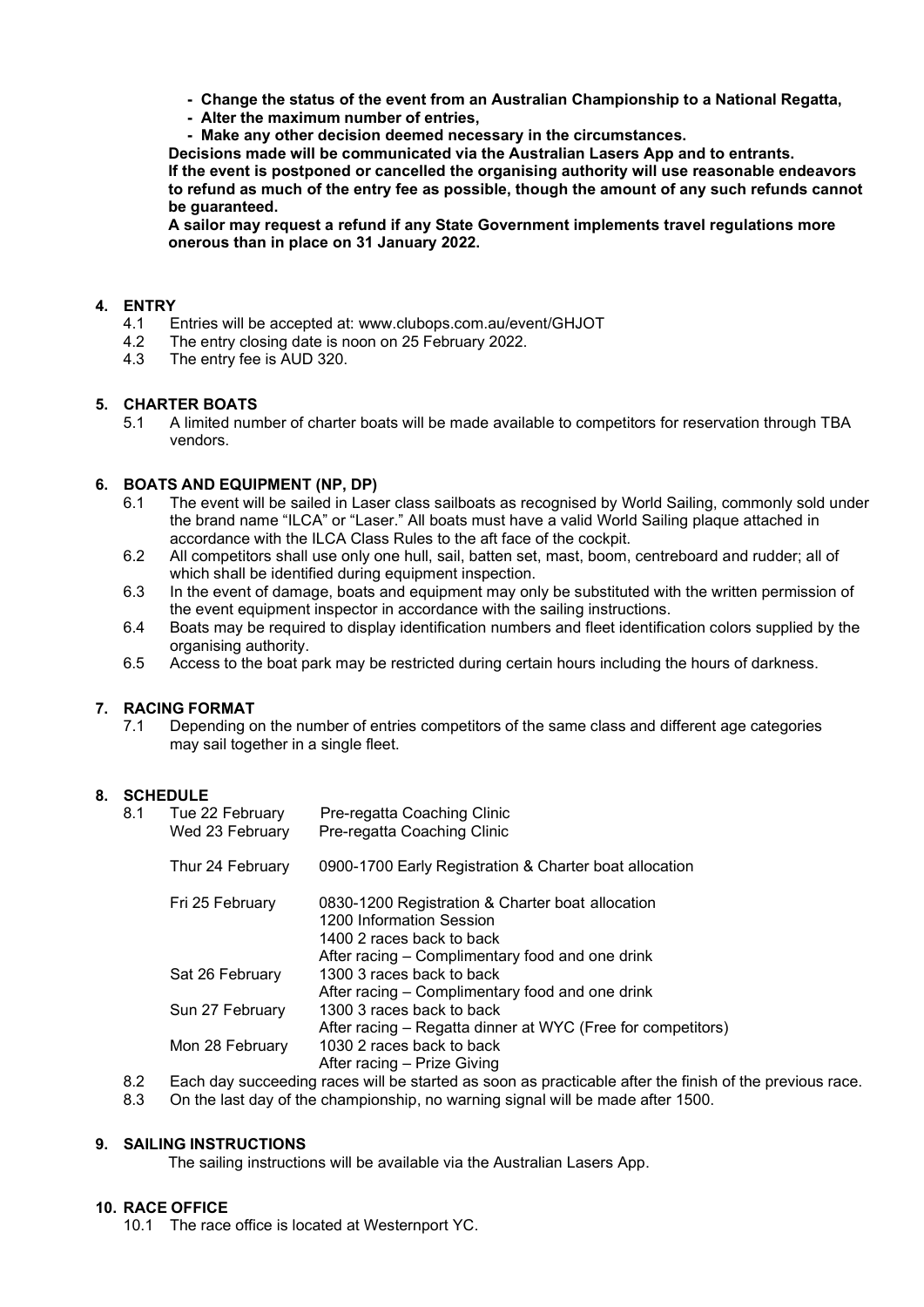- Change the status of the event from an Australian Championship to a National Regatta,
- Alter the maximum number of entries,
- Make any other decision deemed necessary in the circumstances.

Decisions made will be communicated via the Australian Lasers App and to entrants. If the event is postponed or cancelled the organising authority will use reasonable endeavors to refund as much of the entry fee as possible, though the amount of any such refunds cannot be guaranteed.

A sailor may request a refund if any State Government implements travel regulations more onerous than in place on 31 January 2022.

#### 4. ENTRY

- 4.1 Entries will be accepted at: www.clubops.com.au/event/GHJOT
- 4.2 The entry closing date is noon on 25 February 2022.
- 4.3 The entry fee is AUD 320.

#### 5. CHARTER BOATS

5.1 A limited number of charter boats will be made available to competitors for reservation through TBA vendors.

#### 6. BOATS AND EQUIPMENT (NP, DP)

- 6.1 The event will be sailed in Laser class sailboats as recognised by World Sailing, commonly sold under the brand name "ILCA" or "Laser." All boats must have a valid World Sailing plaque attached in accordance with the ILCA Class Rules to the aft face of the cockpit.
- 6.2 All competitors shall use only one hull, sail, batten set, mast, boom, centreboard and rudder; all of which shall be identified during equipment inspection.
- 6.3 In the event of damage, boats and equipment may only be substituted with the written permission of the event equipment inspector in accordance with the sailing instructions.
- 6.4 Boats may be required to display identification numbers and fleet identification colors supplied by the organising authority.
- 6.5 Access to the boat park may be restricted during certain hours including the hours of darkness.

#### 7. RACING FORMAT

7.1 Depending on the number of entries competitors of the same class and different age categories may sail together in a single fleet.

#### 8. SCHEDULE

| 8.1 | Tue 22 February<br>Wed 23 February | Pre-regatta Coaching Clinic<br>Pre-regatta Coaching Clinic                                              |
|-----|------------------------------------|---------------------------------------------------------------------------------------------------------|
|     |                                    |                                                                                                         |
|     | Thur 24 February                   | 0900-1700 Early Registration & Charter boat allocation                                                  |
|     | Fri 25 February                    | 0830-1200 Registration & Charter boat allocation                                                        |
|     |                                    | 1200 Information Session                                                                                |
|     |                                    | 1400 2 races back to back                                                                               |
|     |                                    | After racing – Complimentary food and one drink                                                         |
|     | Sat 26 February                    | 1300 3 races back to back                                                                               |
|     |                                    | After racing – Complimentary food and one drink                                                         |
|     | Sun 27 February                    | 1300 3 races back to back                                                                               |
|     |                                    | After racing – Regatta dinner at WYC (Free for competitors)                                             |
|     | Mon 28 February                    | 1030 2 races back to back                                                                               |
|     |                                    | After racing – Prize Giving                                                                             |
| 8.2 |                                    | Each day succeeding races will be started as soon as practicable after the finish of the previous race. |

8.3 On the last day of the championship, no warning signal will be made after 1500.

#### 9. SAILING INSTRUCTIONS

The sailing instructions will be available via the Australian Lasers App.

#### 10. RACE OFFICE

10.1 The race office is located at Westernport YC.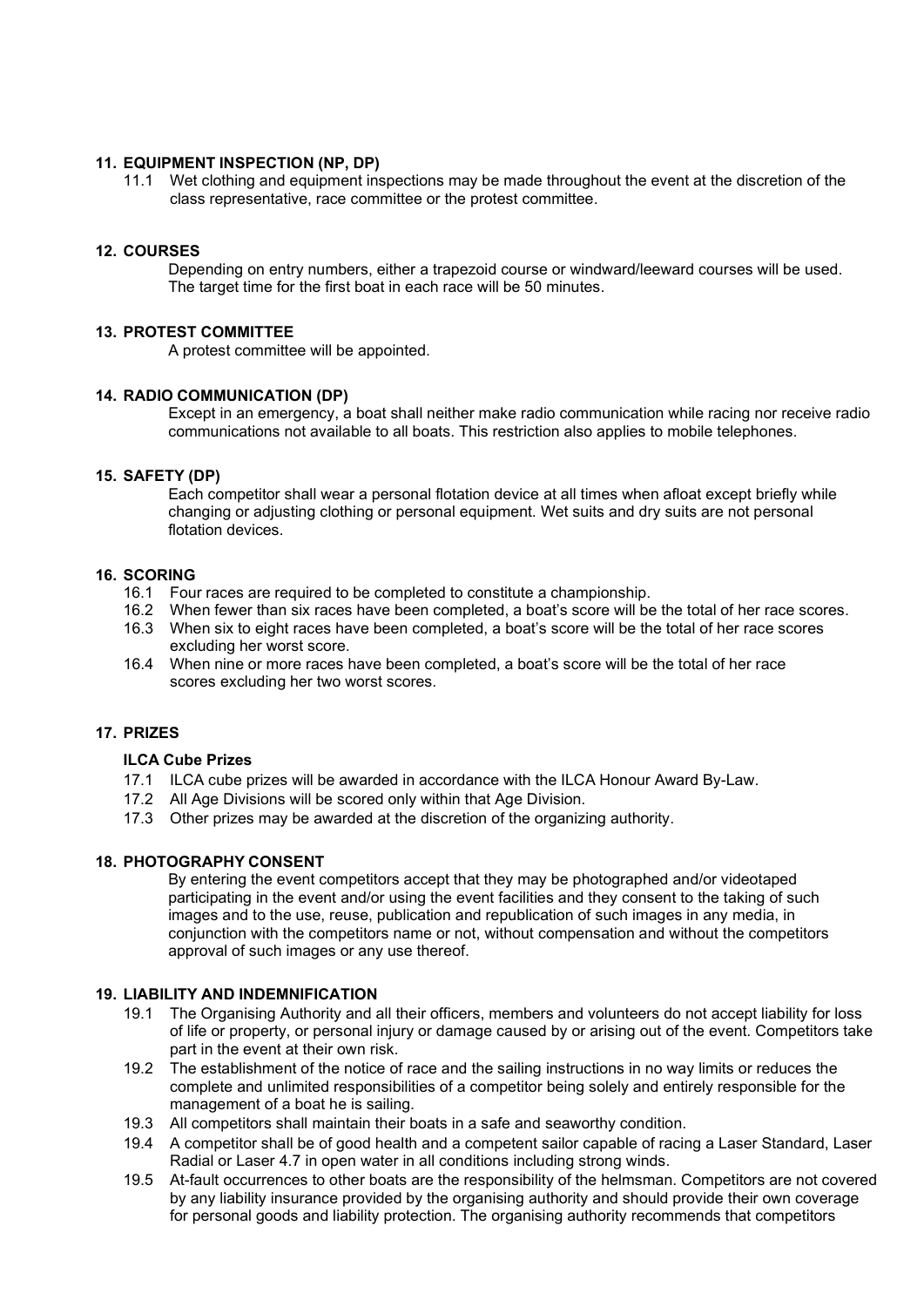#### 11. EQUIPMENT INSPECTION (NP, DP)

11.1 Wet clothing and equipment inspections may be made throughout the event at the discretion of the class representative, race committee or the protest committee.

#### 12. COURSES

Depending on entry numbers, either a trapezoid course or windward/leeward courses will be used. The target time for the first boat in each race will be 50 minutes.

#### 13. PROTEST COMMITTEE

A protest committee will be appointed.

#### 14. RADIO COMMUNICATION (DP)

Except in an emergency, a boat shall neither make radio communication while racing nor receive radio communications not available to all boats. This restriction also applies to mobile telephones.

#### 15. SAFETY (DP)

Each competitor shall wear a personal flotation device at all times when afloat except briefly while changing or adjusting clothing or personal equipment. Wet suits and dry suits are not personal flotation devices.

#### 16. SCORING

- 16.1 Four races are required to be completed to constitute a championship.
- 16.2 When fewer than six races have been completed, a boat's score will be the total of her race scores.
- 16.3 When six to eight races have been completed, a boat's score will be the total of her race scores excluding her worst score.
- 16.4 When nine or more races have been completed, a boat's score will be the total of her race scores excluding her two worst scores.

#### 17. PRIZES

#### ILCA Cube Prizes

- 17.1 ILCA cube prizes will be awarded in accordance with the ILCA Honour Award By-Law.
- 17.2 All Age Divisions will be scored only within that Age Division.
- 17.3 Other prizes may be awarded at the discretion of the organizing authority.

#### 18. PHOTOGRAPHY CONSENT

By entering the event competitors accept that they may be photographed and/or videotaped participating in the event and/or using the event facilities and they consent to the taking of such images and to the use, reuse, publication and republication of such images in any media, in conjunction with the competitors name or not, without compensation and without the competitors approval of such images or any use thereof.

#### 19. LIABILITY AND INDEMNIFICATION

- 19.1 The Organising Authority and all their officers, members and volunteers do not accept liability for loss of life or property, or personal injury or damage caused by or arising out of the event. Competitors take part in the event at their own risk.
- 19.2 The establishment of the notice of race and the sailing instructions in no way limits or reduces the complete and unlimited responsibilities of a competitor being solely and entirely responsible for the management of a boat he is sailing.
- 19.3 All competitors shall maintain their boats in a safe and seaworthy condition.
- 19.4 A competitor shall be of good health and a competent sailor capable of racing a Laser Standard, Laser Radial or Laser 4.7 in open water in all conditions including strong winds.
- 19.5 At-fault occurrences to other boats are the responsibility of the helmsman. Competitors are not covered by any liability insurance provided by the organising authority and should provide their own coverage for personal goods and liability protection. The organising authority recommends that competitors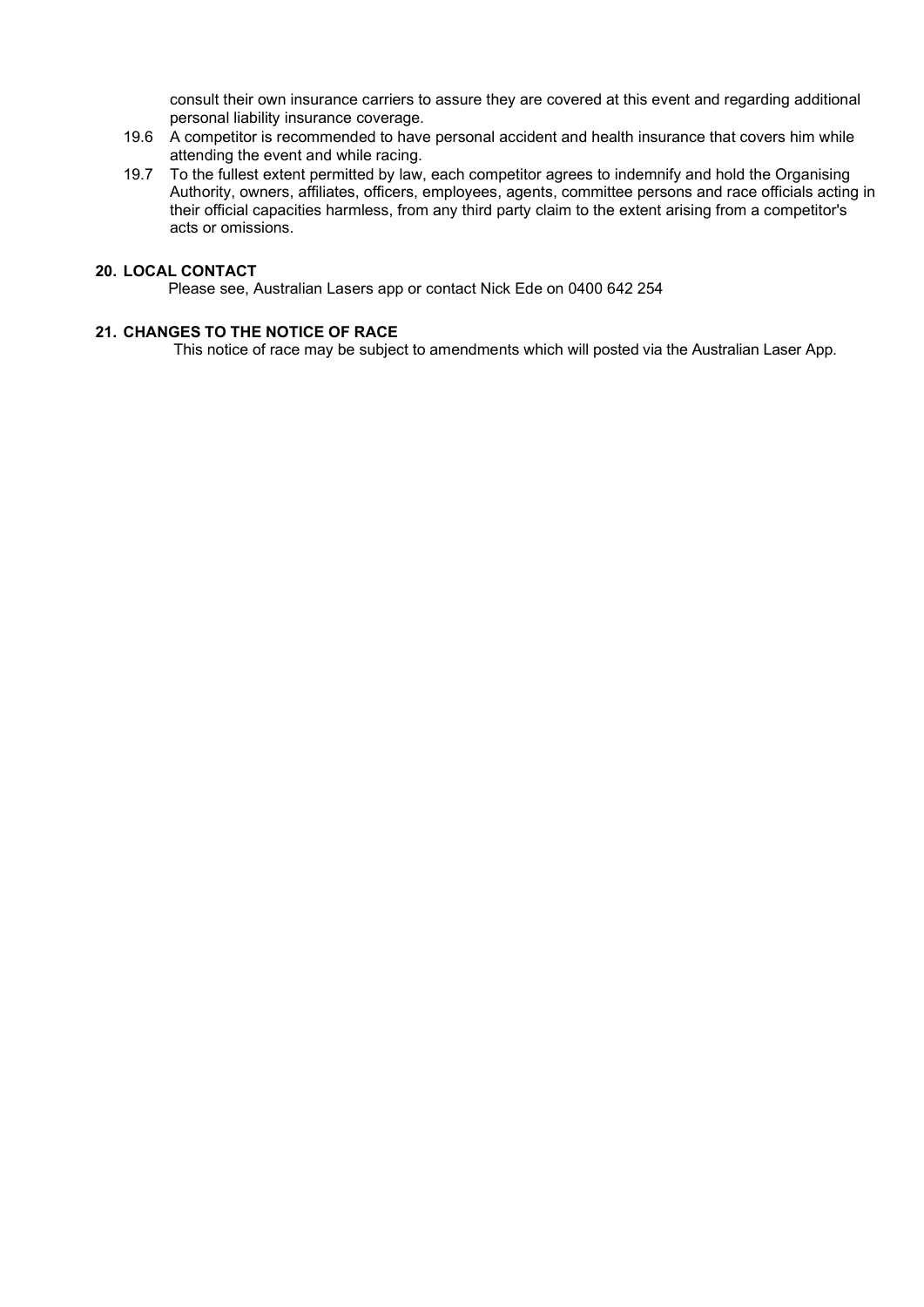consult their own insurance carriers to assure they are covered at this event and regarding additional personal liability insurance coverage.

- 19.6 A competitor is recommended to have personal accident and health insurance that covers him while attending the event and while racing.
- 19.7 To the fullest extent permitted by law, each competitor agrees to indemnify and hold the Organising Authority, owners, affiliates, officers, employees, agents, committee persons and race officials acting in their official capacities harmless, from any third party claim to the extent arising from a competitor's acts or omissions.

#### 20. LOCAL CONTACT

Please see, Australian Lasers app or contact Nick Ede on 0400 642 254

#### 21. CHANGES TO THE NOTICE OF RACE

This notice of race may be subject to amendments which will posted via the Australian Laser App.